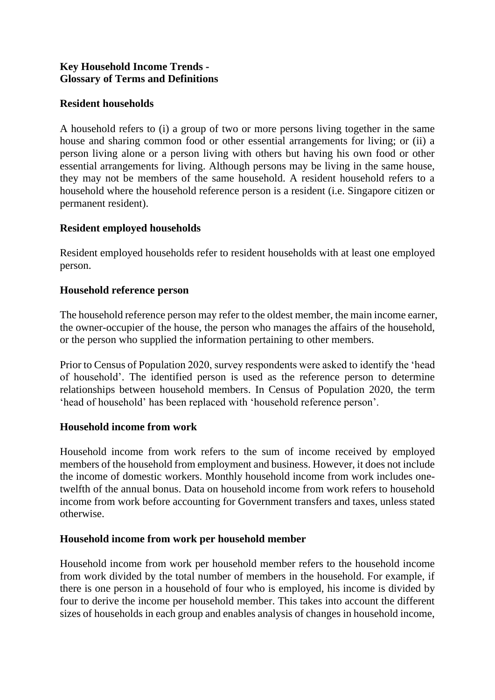### **Key Household Income Trends - Glossary of Terms and Definitions**

### **Resident households**

A household refers to (i) a group of two or more persons living together in the same house and sharing common food or other essential arrangements for living; or (ii) a person living alone or a person living with others but having his own food or other essential arrangements for living. Although persons may be living in the same house, they may not be members of the same household. A resident household refers to a household where the household reference person is a resident (i.e. Singapore citizen or permanent resident).

## **Resident employed households**

Resident employed households refer to resident households with at least one employed person.

### **Household reference person**

The household reference person may refer to the oldest member, the main income earner, the owner-occupier of the house, the person who manages the affairs of the household, or the person who supplied the information pertaining to other members.

Prior to Census of Population 2020, survey respondents were asked to identify the 'head of household'. The identified person is used as the reference person to determine relationships between household members. In Census of Population 2020, the term 'head of household' has been replaced with 'household reference person'.

# **Household income from work**

Household income from work refers to the sum of income received by employed members of the household from employment and business. However, it does not include the income of domestic workers. Monthly household income from work includes onetwelfth of the annual bonus. Data on household income from work refers to household income from work before accounting for Government transfers and taxes, unless stated otherwise.

### **Household income from work per household member**

Household income from work per household member refers to the household income from work divided by the total number of members in the household. For example, if there is one person in a household of four who is employed, his income is divided by four to derive the income per household member. This takes into account the different sizes of households in each group and enables analysis of changes in household income,